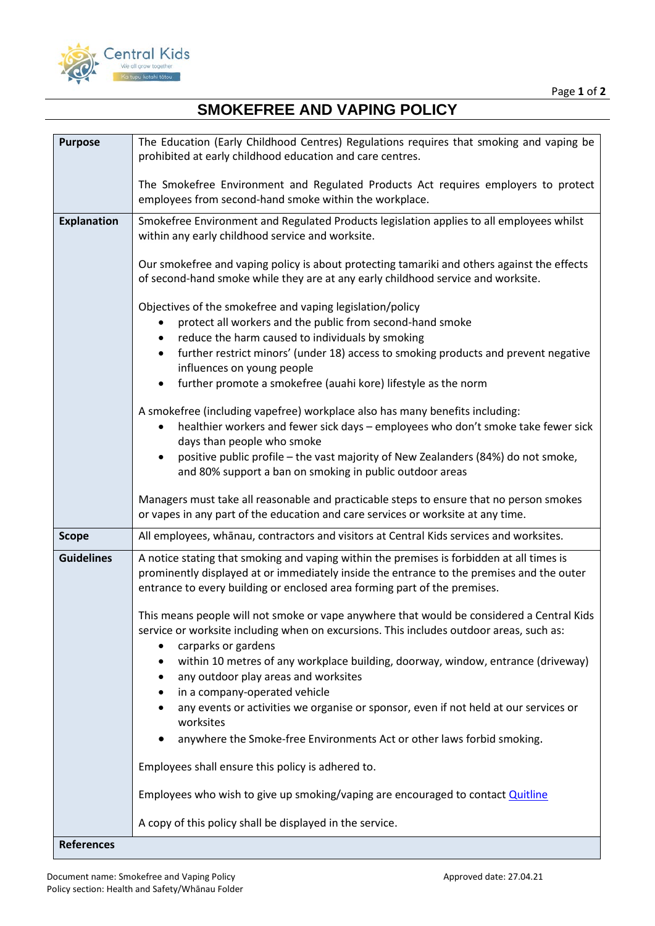

## **SMOKEFREE AND VAPING POLICY**

| <b>Purpose</b>     | The Education (Early Childhood Centres) Regulations requires that smoking and vaping be<br>prohibited at early childhood education and care centres.                                                                                                                |
|--------------------|---------------------------------------------------------------------------------------------------------------------------------------------------------------------------------------------------------------------------------------------------------------------|
|                    |                                                                                                                                                                                                                                                                     |
|                    | The Smokefree Environment and Regulated Products Act requires employers to protect<br>employees from second-hand smoke within the workplace.                                                                                                                        |
| <b>Explanation</b> | Smokefree Environment and Regulated Products legislation applies to all employees whilst                                                                                                                                                                            |
|                    | within any early childhood service and worksite.                                                                                                                                                                                                                    |
|                    | Our smokefree and vaping policy is about protecting tamariki and others against the effects<br>of second-hand smoke while they are at any early childhood service and worksite.                                                                                     |
|                    | Objectives of the smokefree and vaping legislation/policy                                                                                                                                                                                                           |
|                    | protect all workers and the public from second-hand smoke                                                                                                                                                                                                           |
|                    | reduce the harm caused to individuals by smoking                                                                                                                                                                                                                    |
|                    | further restrict minors' (under 18) access to smoking products and prevent negative<br>influences on young people                                                                                                                                                   |
|                    | further promote a smokefree (auahi kore) lifestyle as the norm                                                                                                                                                                                                      |
|                    | A smokefree (including vapefree) workplace also has many benefits including:                                                                                                                                                                                        |
|                    | healthier workers and fewer sick days - employees who don't smoke take fewer sick                                                                                                                                                                                   |
|                    | days than people who smoke                                                                                                                                                                                                                                          |
|                    | positive public profile - the vast majority of New Zealanders (84%) do not smoke,<br>and 80% support a ban on smoking in public outdoor areas                                                                                                                       |
|                    | Managers must take all reasonable and practicable steps to ensure that no person smokes<br>or vapes in any part of the education and care services or worksite at any time.                                                                                         |
| <b>Scope</b>       | All employees, whānau, contractors and visitors at Central Kids services and worksites.                                                                                                                                                                             |
| <b>Guidelines</b>  | A notice stating that smoking and vaping within the premises is forbidden at all times is<br>prominently displayed at or immediately inside the entrance to the premises and the outer<br>entrance to every building or enclosed area forming part of the premises. |
|                    | This means people will not smoke or vape anywhere that would be considered a Central Kids<br>service or worksite including when on excursions. This includes outdoor areas, such as:<br>carparks or gardens                                                         |
|                    | within 10 metres of any workplace building, doorway, window, entrance (driveway)                                                                                                                                                                                    |
|                    | any outdoor play areas and worksites                                                                                                                                                                                                                                |
|                    | in a company-operated vehicle                                                                                                                                                                                                                                       |
|                    | any events or activities we organise or sponsor, even if not held at our services or<br>worksites                                                                                                                                                                   |
|                    | anywhere the Smoke-free Environments Act or other laws forbid smoking.                                                                                                                                                                                              |
|                    | Employees shall ensure this policy is adhered to.                                                                                                                                                                                                                   |
|                    | Employees who wish to give up smoking/vaping are encouraged to contact Quitline                                                                                                                                                                                     |
|                    | A copy of this policy shall be displayed in the service.                                                                                                                                                                                                            |
| <b>References</b>  |                                                                                                                                                                                                                                                                     |